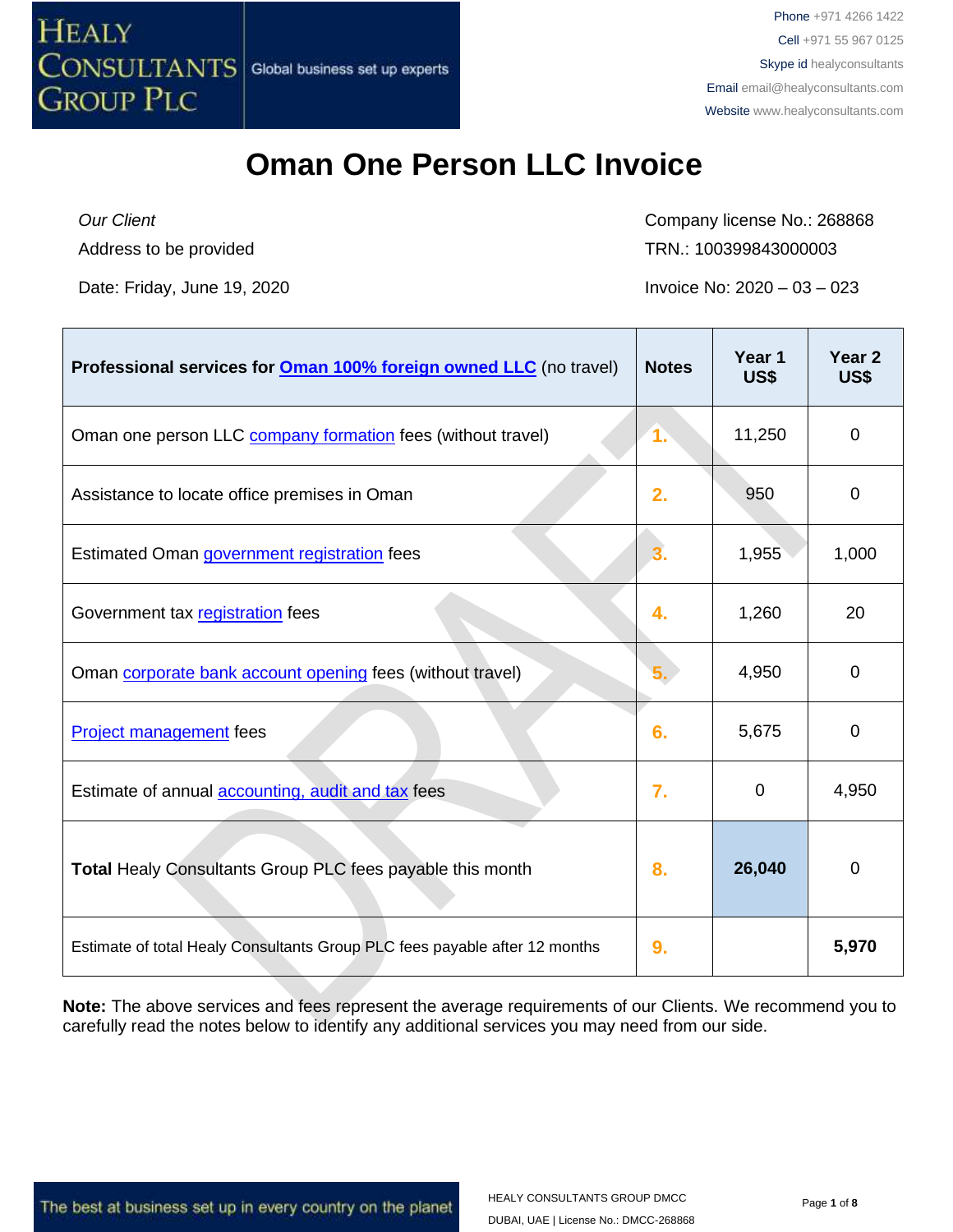

*Our Client* Address to be provided Company license No.: 268868 TRN.: 100399843000003

Date: Friday, June 19, 2020 **Invoice No: 2020** – 03 – 023

| Professional services for <b>Oman 100% foreign owned LLC</b> (no travel)   | <b>Notes</b>     | Year 1<br>US\$ | Year <sub>2</sub><br>US\$ |
|----------------------------------------------------------------------------|------------------|----------------|---------------------------|
| Oman one person LLC company formation fees (without travel)                | 1.               | 11,250         | 0                         |
| Assistance to locate office premises in Oman                               | 2.               | 950            | 0                         |
| Estimated Oman government registration fees                                | 3.               | 1,955          | 1,000                     |
| Government tax registration fees                                           | 4.               | 1,260          | 20                        |
| Oman corporate bank account opening fees (without travel)                  |                  | 4,950          | 0                         |
| <b>Project management</b> fees                                             | 6.               | 5,675          | $\mathbf 0$               |
| Estimate of annual accounting, audit and tax fees                          | $\overline{7}$ . | $\Omega$       | 4,950                     |
| Total Healy Consultants Group PLC fees payable this month                  | 8.               | 26,040         | $\mathbf 0$               |
| Estimate of total Healy Consultants Group PLC fees payable after 12 months | 9.               |                | 5,970                     |

**Note:** The above services and fees represent the average requirements of our Clients. We recommend you to carefully read the notes below to identify any additional services you may need from our side.

The best at business set up in every country on the planet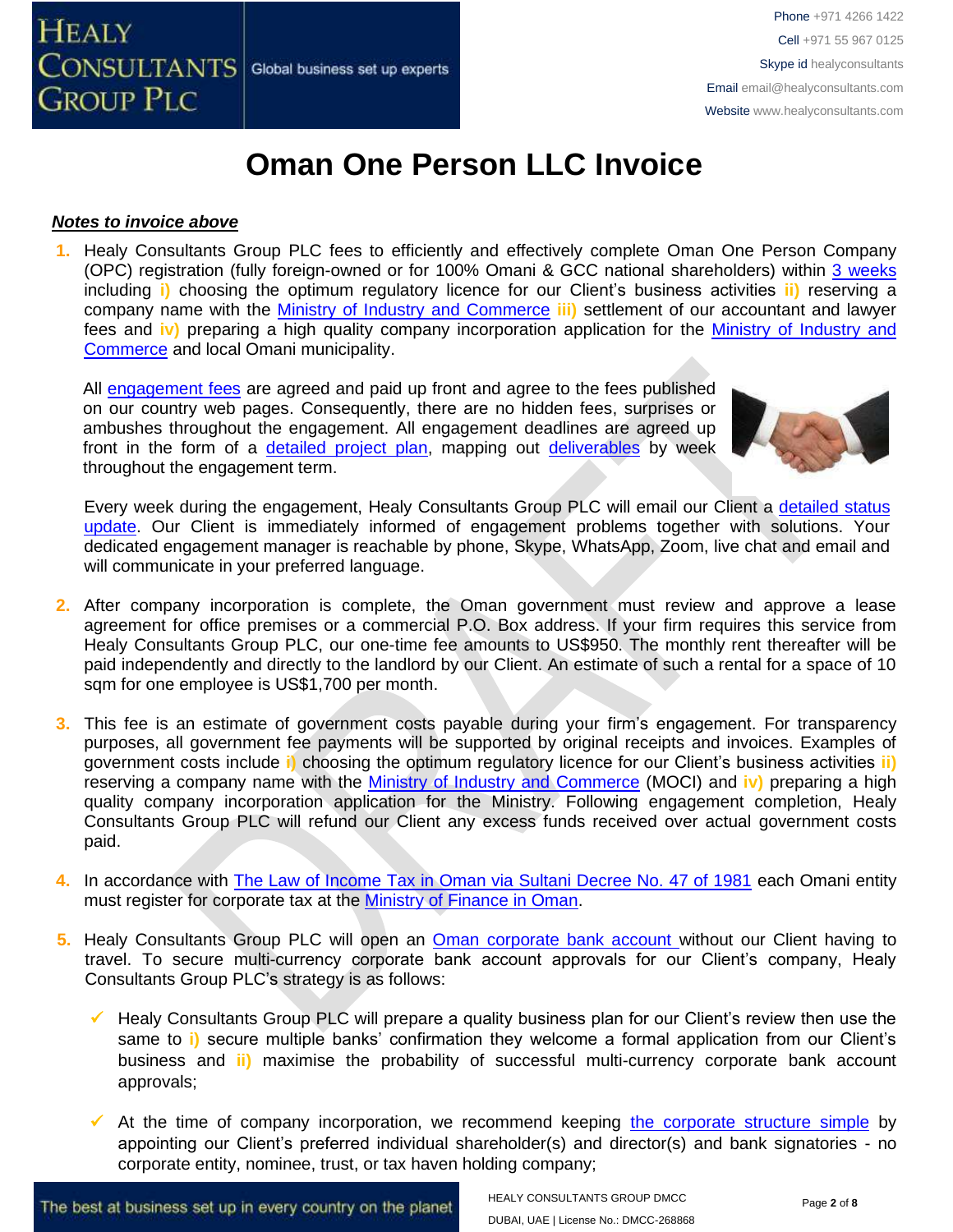#### *Notes to invoice above*

**1.** Healy Consultants Group PLC fees to efficiently and effectively complete Oman One Person Company (OPC) registration (fully foreign-owned or for 100% Omani & GCC national shareholders) within 3 [weeks](http://www.healyconsultants.com/oman-company-registration/fees-timelines/#timelines) including **i)** choosing the optimum regulatory licence for our Client's business activities **ii)** reserving a company name with the [Ministry of Industry and Commerce](http://www.mocioman.gov.om/?lang=en-US) **iii)** settlement of our accountant and lawyer fees and **iv)** preparing a high quality company incorporation application for the [Ministry of Industry and](http://www.mocioman.gov.om/?lang=en-US)  [Commerce](http://www.mocioman.gov.om/?lang=en-US) and local Omani municipality.

All [engagement fees](http://www.healyconsultants.com/company-registration-fees/) are agreed and paid up front and agree to the fees published on our country web pages. Consequently, there are no hidden fees, surprises or ambushes throughout the engagement. All engagement deadlines are agreed up front in the form of a [detailed project plan,](http://www.healyconsultants.com/index-important-links/example-project-plan/) mapping out [deliverables](http://www.healyconsultants.com/deliverables-to-our-clients/) by week throughout the engagement term.



Every week during the engagement, Healy Consultants Group PLC will email our Client a [detailed status](http://www.healyconsultants.com/index-important-links/weekly-engagement-status-email/)  [update.](http://www.healyconsultants.com/index-important-links/weekly-engagement-status-email/) Our Client is immediately informed of engagement problems together with solutions. Your dedicated engagement manager is reachable by phone, Skype, WhatsApp, Zoom, live chat and email and will communicate in your preferred language.

- **2.** After company incorporation is complete, the Oman government must review and approve a lease agreement for office premises or a commercial P.O. Box address. If your firm requires this service from Healy Consultants Group PLC, our one-time fee amounts to US\$950. The monthly rent thereafter will be paid independently and directly to the landlord by our Client. An estimate of such a rental for a space of 10 sqm for one employee is US\$1,700 per month.
- **3.** This fee is an estimate of government costs payable during your firm's engagement. For transparency purposes, all government fee payments will be supported by original receipts and invoices. Examples of government costs include **i)** choosing the optimum regulatory licence for our Client's business activities **ii)** reserving a company name with the [Ministry of Industry and Commerce](http://www.mocioman.gov.om/?lang=en-US) (MOCI) and **iv)** preparing a high quality company incorporation application for the Ministry. Following engagement completion, Healy Consultants Group PLC will refund our Client any excess funds received over actual government costs paid.
- **4.** In accordance with [The Law of Income Tax in Oman via Sultani Decree No. 47 of 1981](http://www.taxoman.gov.om/companies%20law%20in%20English.pdf) each Omani entity must register for corporate tax at the [Ministry of Finance in Oman.](http://www.taxoman.gov.om/company_tax.html#main-page)
- **5.** Healy Consultants Group PLC will open an [Oman corporate bank account](http://www.healyconsultants.com/international-banking/) without our Client having to travel. To secure multi-currency corporate bank account approvals for our Client's company, Healy Consultants Group PLC's strategy is as follows:
	- Healy Consultants Group PLC will prepare a quality business plan for our Client's review then use the same to **i)** secure multiple banks' confirmation they welcome a formal application from our Client's business and **ii)** maximise the probability of successful multi-currency corporate bank account approvals;
	- $\checkmark$  At the time of company incorporation, we recommend keeping [the corporate structure simple](https://www.healyconsultants.com/about-us/complex-client-engagements/simplify-business-setup/) by appointing our Client's preferred individual shareholder(s) and director(s) and bank signatories - no corporate entity, nominee, trust, or tax haven holding company;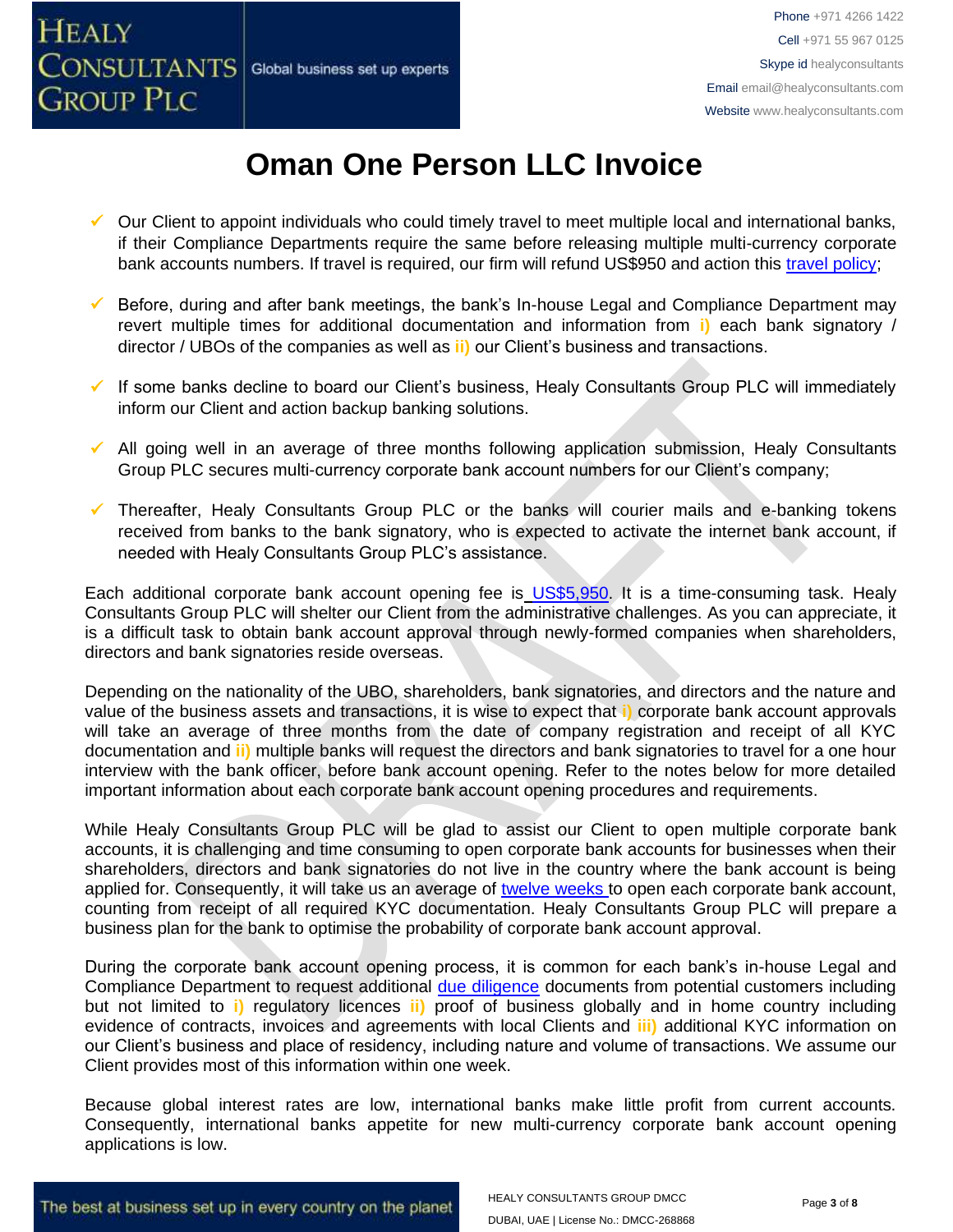**GROUP PLC** 



## **Oman One Person LLC Invoice**

- ✓ Our Client to appoint individuals who could timely travel to meet multiple local and international banks, if their Compliance Departments require the same before releasing multiple multi-currency corporate bank accounts numbers. If travel is required, our firm will refund US\$950 and action this [travel policy;](https://www.healyconsultants.com/index-important-links/clients-travel-engagement/)
- Before, during and after bank meetings, the bank's In-house Legal and Compliance Department may revert multiple times for additional documentation and information from **i)** each bank signatory / director / UBOs of the companies as well as **ii)** our Client's business and transactions.
- ✓ If some banks decline to board our Client's business, Healy Consultants Group PLC will immediately inform our Client and action backup banking solutions.
- ✓ All going well in an average of three months following application submission, Healy Consultants Group PLC secures multi-currency corporate bank account numbers for our Client's company;
- ✓ Thereafter, Healy Consultants Group PLC or the banks will courier mails and e-banking tokens received from banks to the bank signatory, who is expected to activate the internet bank account, if needed with Healy Consultants Group PLC's assistance.

Each additional corporate bank account opening fee is [US\\$5,950.](https://www.healyconsultants.com/global-corporate-banking-for-resident-company/) It is a time-consuming task. Healy Consultants Group PLC will shelter our Client from the administrative challenges. As you can appreciate, it is a difficult task to obtain bank account approval through newly-formed companies when shareholders, directors and bank signatories reside overseas.

Depending on the nationality of the UBO, shareholders, bank signatories, and directors and the nature and value of the business assets and transactions, it is wise to expect that **i)** corporate bank account approvals will take an average of three months from the date of company registration and receipt of all KYC documentation and **ii)** multiple banks will request the directors and bank signatories to travel for a one hour interview with the bank officer, before bank account opening. Refer to the notes below for more detailed important information about each corporate bank account opening procedures and requirements.

While Healy Consultants Group PLC will be glad to assist our Client to open multiple corporate bank accounts, it is challenging and time consuming to open corporate bank accounts for businesses when their shareholders, directors and bank signatories do not live in the country where the bank account is being applied for. Consequently, it will take us an average of [twelve weeks](http://www.healyconsultants.com/international-banking/bitcoin-business-bank-account/) to open each corporate bank account, counting from receipt of all required KYC documentation. Healy Consultants Group PLC will prepare a business plan for the bank to optimise the probability of corporate bank account approval.

During the corporate bank account opening process, it is common for each bank's in-house Legal and Compliance Department to request additional [due diligence](http://www.healyconsultants.com/due-diligence/) documents from potential customers including but not limited to **i)** regulatory licences **ii)** proof of business globally and in home country including evidence of contracts, invoices and agreements with local Clients and **iii)** additional KYC information on our Client's business and place of residency, including nature and volume of transactions. We assume our Client provides most of this information within one week.

Because global interest rates are low, international banks make little profit from current accounts. Consequently, international banks appetite for new multi-currency corporate bank account opening applications is low.

The best at business set up in every country on the planet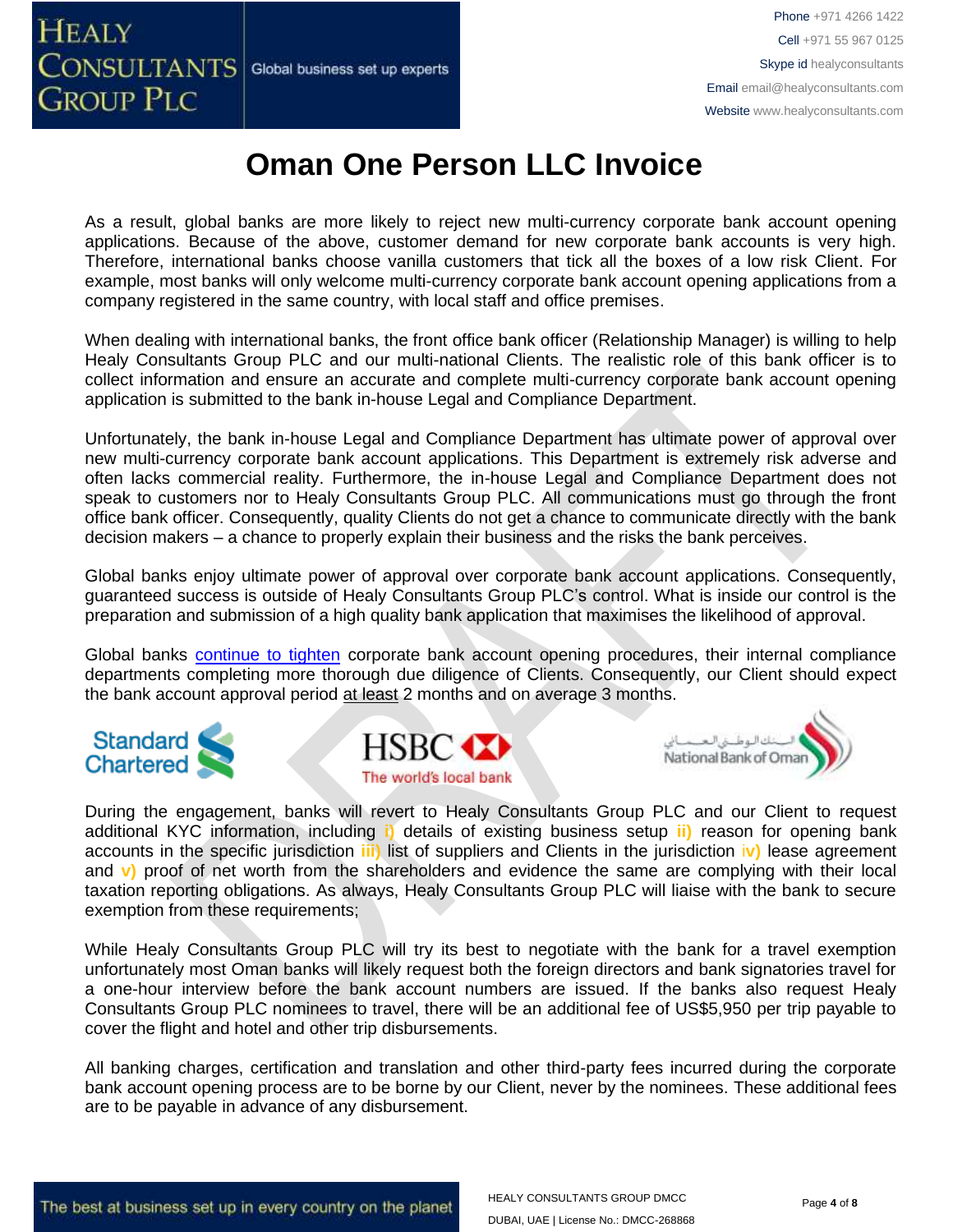# CONSULTANTS Global business set up experts

 ${\rm HeAlY}$  Phone +971 4266 1422 Cell +971 55 967 0125 Skype id healyconsultants Email [email@healyconsultants.com](mailto:EMAIL@HEALYCONSULTANTS.COM) Website [www.healyconsultants.com](http://www.healyconsultants.com/)

## **Oman One Person LLC Invoice**

As a result, global banks are more likely to reject new multi-currency corporate bank account opening applications. Because of the above, customer demand for new corporate bank accounts is very high. Therefore, international banks choose vanilla customers that tick all the boxes of a low risk Client. For example, most banks will only welcome multi-currency corporate bank account opening applications from a company registered in the same country, with local staff and office premises.

When dealing with international banks, the front office bank officer (Relationship Manager) is willing to help Healy Consultants Group PLC and our multi-national Clients. The realistic role of this bank officer is to collect information and ensure an accurate and complete multi-currency corporate bank account opening application is submitted to the bank in-house Legal and Compliance Department.

Unfortunately, the bank in-house Legal and Compliance Department has ultimate power of approval over new multi-currency corporate bank account applications. This Department is extremely risk adverse and often lacks commercial reality. Furthermore, the in-house Legal and Compliance Department does not speak to customers nor to Healy Consultants Group PLC. All communications must go through the front office bank officer. Consequently, quality Clients do not get a chance to communicate directly with the bank decision makers – a chance to properly explain their business and the risks the bank perceives.

Global banks enjoy ultimate power of approval over corporate bank account applications. Consequently, guaranteed success is outside of Healy Consultants Group PLC's control. What is inside our control is the preparation and submission of a high quality bank application that maximises the likelihood of approval.

Global banks [continue to tighten](https://www.healyconsultants.com/international-banking/opening-corporate-bank-accounts/) corporate bank account opening procedures, their internal compliance departments completing more thorough due diligence of Clients. Consequently, our Client should expect the bank account approval period at least 2 months and on average 3 months.



**GROUP PLC** 





During the engagement, banks will revert to Healy Consultants Group PLC and our Client to request additional KYC information, including **i)** details of existing business setup **ii)** reason for opening bank accounts in the specific jurisdiction **iii)** list of suppliers and Clients in the jurisdiction i**v)** lease agreement and **v)** proof of net worth from the shareholders and evidence the same are complying with their local taxation reporting obligations. As always, Healy Consultants Group PLC will liaise with the bank to secure exemption from these requirements;

While Healy Consultants Group PLC will try its best to negotiate with the bank for a travel exemption unfortunately most Oman banks will likely request both the foreign directors and bank signatories travel for a one-hour interview before the bank account numbers are issued. If the banks also request Healy Consultants Group PLC nominees to travel, there will be an additional fee of US\$5,950 per trip payable to cover the flight and hotel and other trip disbursements.

All banking charges, certification and translation and other third-party fees incurred during the corporate bank account opening process are to be borne by our Client, never by the nominees. These additional fees are to be payable in advance of any disbursement.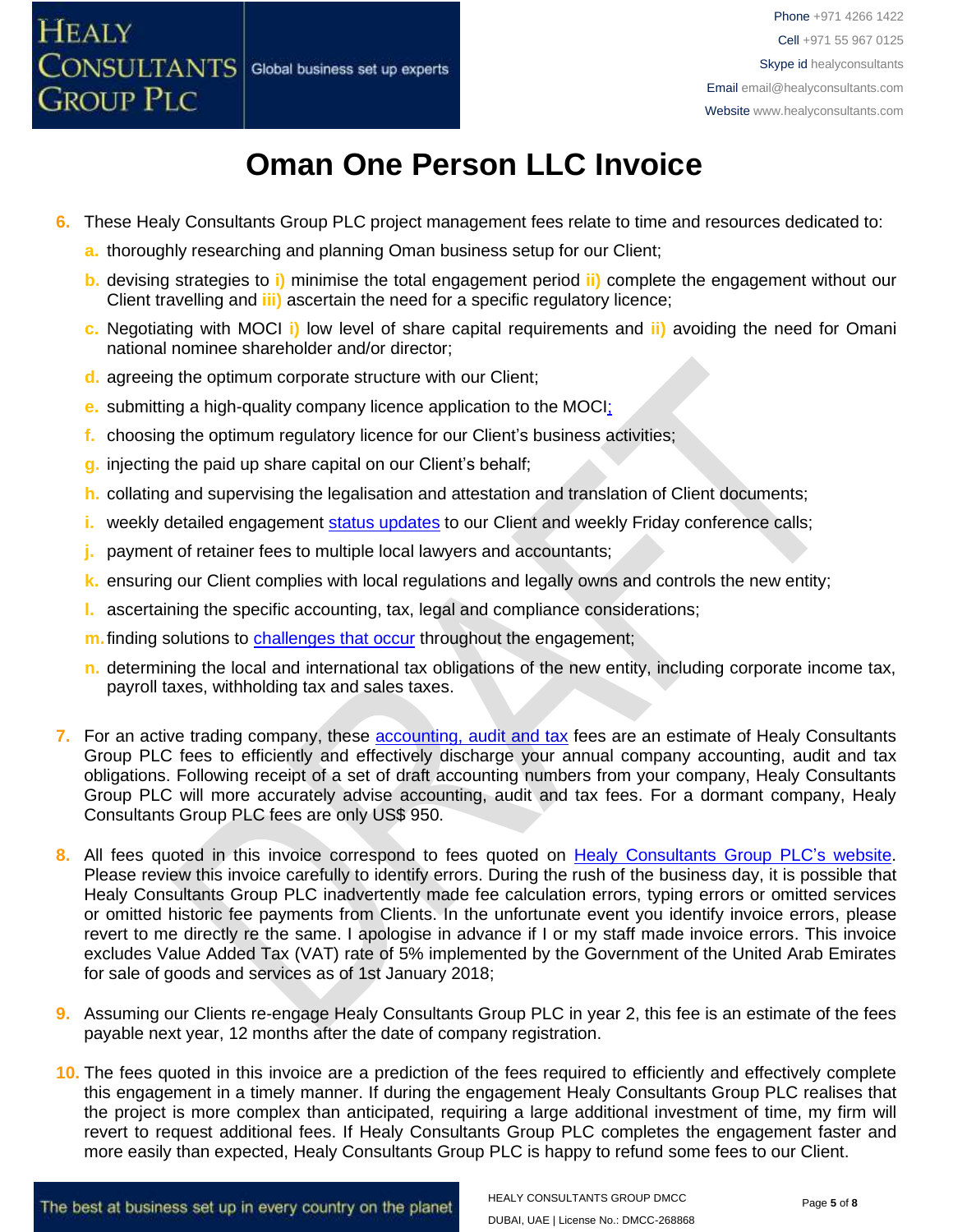- **6.** These Healy Consultants Group PLC project management fees relate to time and resources dedicated to:
	- **a.** thoroughly researching and planning Oman business setup for our Client;
	- **b.** devising strategies to **i)** minimise the total engagement period **ii)** complete the engagement without our Client travelling and **iii)** ascertain the need for a specific regulatory licence;
	- **c.** Negotiating with MOCI **i)** low level of share capital requirements and **ii)** avoiding the need for Omani national nominee shareholder and/or director;
	- **d.** agreeing the optimum corporate structure with our Client;
	- **e.** submitting a high-quality company licence application to the MOCI;
	- **f.** choosing the optimum regulatory licence for our Client's business activities;
	- **g.** injecting the paid up share capital on our Client's behalf;
	- **h.** collating and supervising the legalisation and attestation and translation of Client documents;
	- **i.** weekly detailed engagement [status updates](http://www.healyconsultants.com/index-important-links/weekly-engagement-status-email/) to our Client and weekly Friday conference calls;
	- **j.** payment of retainer fees to multiple local lawyers and accountants;
	- **k.** ensuring our Client complies with local regulations and legally owns and controls the new entity;
	- **l.** ascertaining the specific accounting, tax, legal and compliance considerations;
	- **m.** finding solutions to **challenges that occur** throughout the engagement;
	- **n.** determining the local and international tax obligations of the new entity, including corporate income tax, payroll taxes, withholding tax and sales taxes.
- **7.** For an active trading company, these **accounting, audit and tax** fees are an estimate of Healy Consultants Group PLC fees to efficiently and effectively discharge your annual company accounting, audit and tax obligations. Following receipt of a set of draft accounting numbers from your company, Healy Consultants Group PLC will more accurately advise accounting, audit and tax fees. For a dormant company, Healy Consultants Group PLC fees are only US\$ 950.
- 8. All fees quoted in this invoice correspond to fees quoted on [Healy Consultants Group PLC's](http://www.healyconsultants.com/company-registration-fees/) website. Please review this invoice carefully to identify errors. During the rush of the business day, it is possible that Healy Consultants Group PLC inadvertently made fee calculation errors, typing errors or omitted services or omitted historic fee payments from Clients. In the unfortunate event you identify invoice errors, please revert to me directly re the same. I apologise in advance if I or my staff made invoice errors. This invoice excludes Value Added Tax (VAT) rate of 5% implemented by the Government of the United Arab Emirates for sale of goods and services as of 1st January 2018;
- **9.** Assuming our Clients re-engage Healy Consultants Group PLC in year 2, this fee is an estimate of the fees payable next year, 12 months after the date of company registration.
- **10.** The fees quoted in this invoice are a prediction of the fees required to efficiently and effectively complete this engagement in a timely manner. If during the engagement Healy Consultants Group PLC realises that the project is more complex than anticipated, requiring a large additional investment of time, my firm will revert to request additional fees. If Healy Consultants Group PLC completes the engagement faster and more easily than expected, Healy Consultants Group PLC is happy to refund some fees to our Client.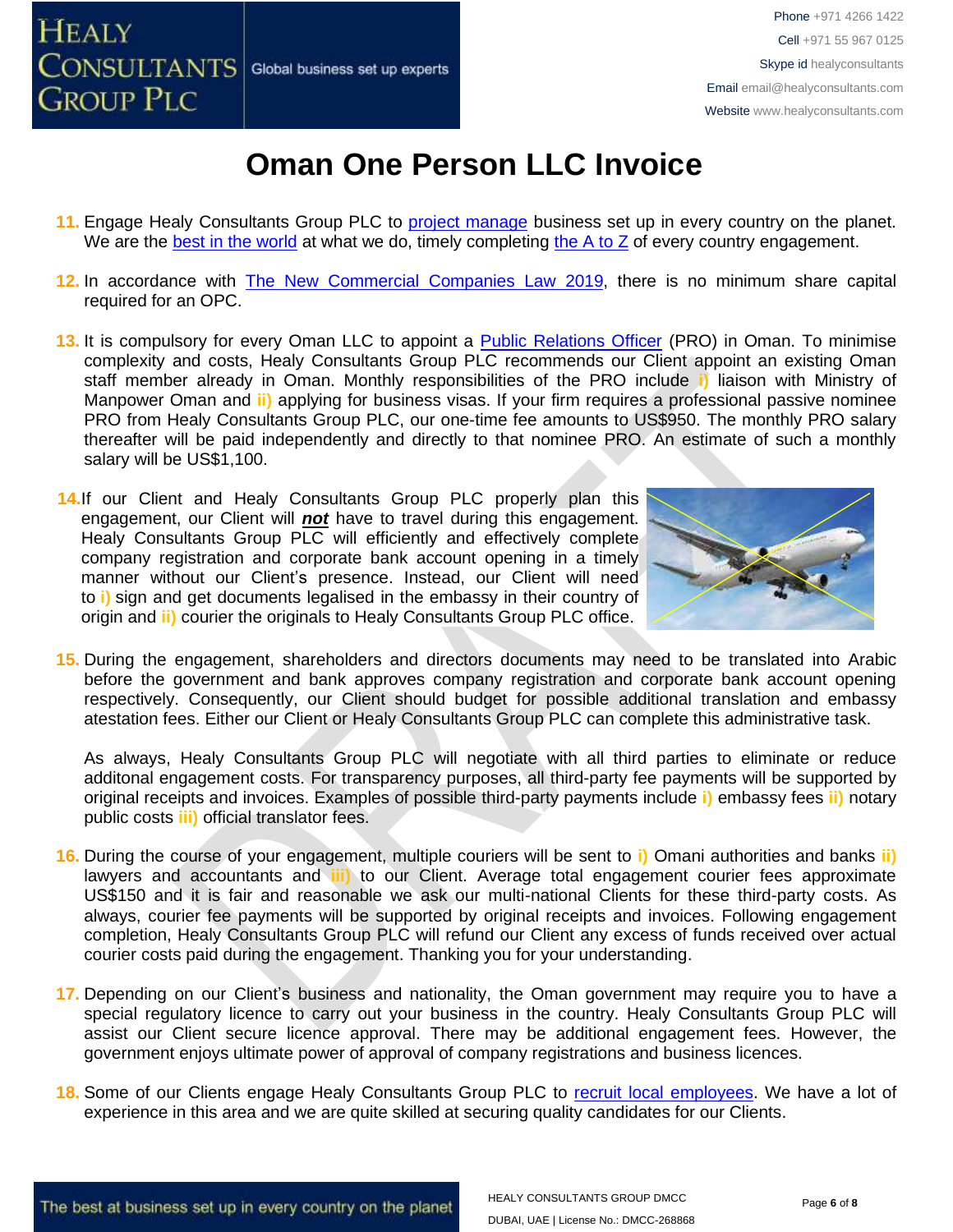

- 11. Engage Healy Consultants Group PLC to [project manage](http://www.healyconsultants.com/project-manage-engagements/) business set up in every country on the planet. We are the [best in the world](http://www.healyconsultants.com/best-in-the-world/) at what we do, timely completing [the A to Z](http://www.healyconsultants.com/a-to-z-of-business-set-up/) of every country engagement.
- **12.** In accordance with [The New Commercial Companies Law 2019,](http://mola.gov.om/eng/legislation/decrees/details.aspx?Id=548&type=L) there is no minimum share capital required for an OPC.
- 13. It is compulsory for every Oman LLC to appoint a **Public Relations Officer** (PRO) in Oman. To minimise complexity and costs, Healy Consultants Group PLC recommends our Client appoint an existing Oman staff member already in Oman. Monthly responsibilities of the PRO include **i)** liaison with Ministry of Manpower Oman and **ii)** applying for business visas. If your firm requires a professional passive nominee PRO from Healy Consultants Group PLC, our one-time fee amounts to US\$950. The monthly PRO salary thereafter will be paid independently and directly to that nominee PRO. An estimate of such a monthly salary will be US\$1,100.
- 14.If our Client and Healy Consultants Group PLC properly plan this engagement, our Client will *not* have to travel during this engagement. Healy Consultants Group PLC will efficiently and effectively complete company registration and corporate bank account opening in a timely manner without our Client's presence. Instead, our Client will need to **i)** sign and get documents legalised in the embassy in their country of origin and **ii)** courier the originals to Healy Consultants Group PLC office.



**15.** During the engagement, shareholders and directors documents may need to be translated into Arabic before the government and bank approves company registration and corporate bank account opening respectively. Consequently, our Client should budget for possible additional translation and embassy atestation fees. Either our Client or Healy Consultants Group PLC can complete this administrative task.

As always, Healy Consultants Group PLC will negotiate with all third parties to eliminate or reduce additonal engagement costs. For transparency purposes, all third-party fee payments will be supported by original receipts and invoices. Examples of possible third-party payments include **i)** embassy fees **ii)** notary public costs **iii)** official translator fees.

- **16.** During the course of your engagement, multiple couriers will be sent to **i)** Omani authorities and banks **ii)** lawyers and accountants and **iii)** to our Client. Average total engagement courier fees approximate US\$150 and it is fair and reasonable we ask our multi-national Clients for these third-party costs. As always, courier fee payments will be supported by original receipts and invoices. Following engagement completion, Healy Consultants Group PLC will refund our Client any excess of funds received over actual courier costs paid during the engagement. Thanking you for your understanding.
- **17.** Depending on our Client's business and nationality, the Oman government may require you to have a special regulatory licence to carry out your business in the country. Healy Consultants Group PLC will assist our Client secure licence approval. There may be additional engagement fees. However, the government enjoys ultimate power of approval of company registrations and business licences.
- **18.** Some of our Clients engage Healy Consultants Group PLC to [recruit local employees.](http://www.healyconsultants.com/corporate-outsourcing-services/how-we-help-our-clients-recruit-quality-employees/) We have a lot of experience in this area and we are quite skilled at securing quality candidates for our Clients.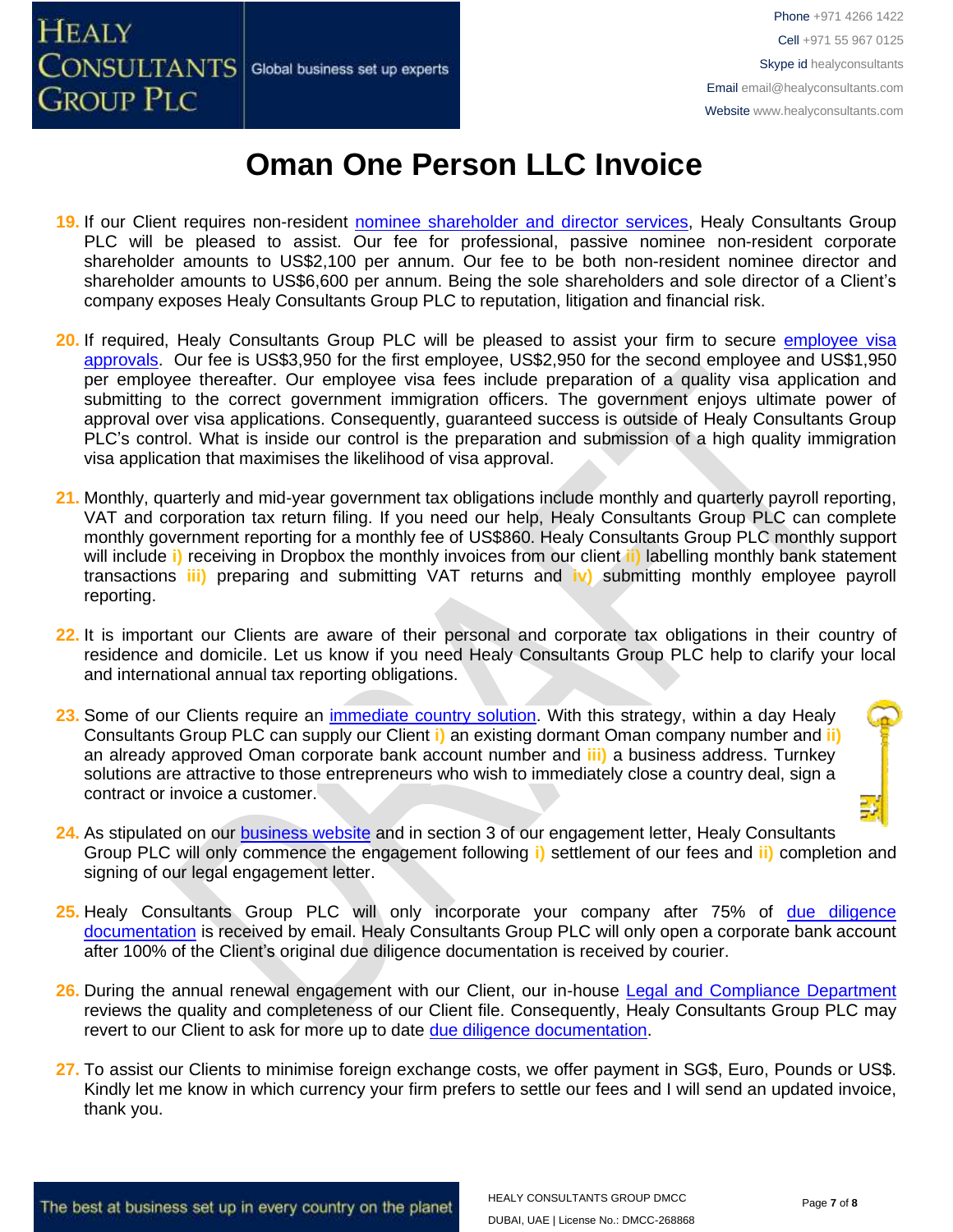

- **19.** If our Client requires non-resident [nominee shareholder and director services,](http://www.healyconsultants.com/corporate-outsourcing-services/nominee-shareholders-directors/) Healy Consultants Group PLC will be pleased to assist. Our fee for professional, passive nominee non-resident corporate shareholder amounts to US\$2,100 per annum. Our fee to be both non-resident nominee director and shareholder amounts to US\$6,600 per annum. Being the sole shareholders and sole director of a Client's company exposes Healy Consultants Group PLC to reputation, litigation and financial risk.
- **20.** If required, Healy Consultants Group PLC will be pleased to assist your firm to secure [employee visa](http://www.healyconsultants.com/oman-company-registration/formation-support-services/)  [approvals.](http://www.healyconsultants.com/oman-company-registration/formation-support-services/) Our fee is US\$3,950 for the first employee, US\$2,950 for the second employee and US\$1,950 per employee thereafter. Our employee visa fees include preparation of a quality visa application and submitting to the correct government immigration officers. The government enjoys ultimate power of approval over visa applications. Consequently, guaranteed success is outside of Healy Consultants Group PLC's control. What is inside our control is the preparation and submission of a high quality immigration visa application that maximises the likelihood of visa approval.
- **21.** Monthly, quarterly and mid-year government tax obligations include monthly and quarterly payroll reporting, VAT and corporation tax return filing. If you need our help, Healy Consultants Group PLC can complete monthly government reporting for a monthly fee of US\$860. Healy Consultants Group PLC monthly support will include **i)** receiving in Dropbox the monthly invoices from our client **ii)** labelling monthly bank statement transactions **iii)** preparing and submitting VAT returns and **iv)** submitting monthly employee payroll reporting.
- **22.** It is important our Clients are aware of their personal and corporate tax obligations in their country of residence and domicile. Let us know if you need Healy Consultants Group PLC help to clarify your local and international annual tax reporting obligations.
- **23.** Some of our Clients require an [immediate country solution.](http://www.healyconsultants.com/turnkey-solutions/) With this strategy, within a day Healy Consultants Group PLC can supply our Client **i)** an existing dormant Oman company number and **ii)** an already approved Oman corporate bank account number and **iii)** a business address. Turnkey solutions are attractive to those entrepreneurs who wish to immediately close a country deal, sign a contract or invoice a customer.
- **24.** As stipulated on our [business website](http://www.healyconsultants.com/) and in section 3 of our engagement letter, Healy Consultants Group PLC will only commence the engagement following **i)** settlement of our fees and **ii)** completion and signing of our legal engagement letter.
- 25. Healy Consultants Group PLC will only incorporate your company after 75% of due diligence [documentation](http://www.healyconsultants.com/due-diligence/) is received by email. Healy Consultants Group PLC will only open a corporate bank account after 100% of the Client's original due diligence documentation is received by courier.
- **26.** During the annual renewal engagement with our Client, our in-house [Legal and Compliance Department](http://www.healyconsultants.com/about-us/key-personnel/cai-xin-profile/) reviews the quality and completeness of our Client file. Consequently, Healy Consultants Group PLC may revert to our Client to ask for more up to date [due diligence documentation.](http://www.healyconsultants.com/due-diligence/)
- **27.** To assist our Clients to minimise foreign exchange costs, we offer payment in SG\$, Euro, Pounds or US\$. Kindly let me know in which currency your firm prefers to settle our fees and I will send an updated invoice, thank you.